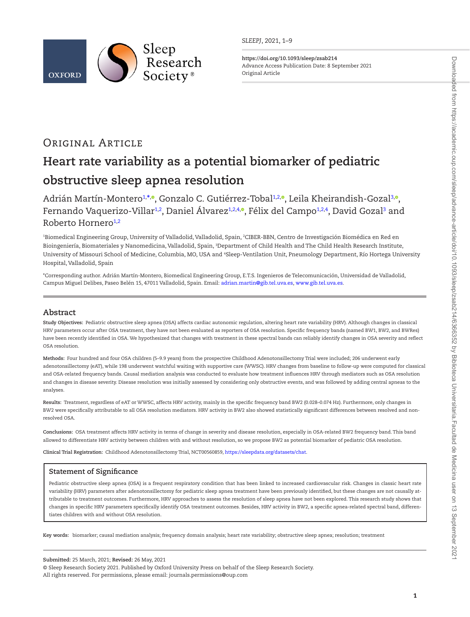

*SLEEPJ*, 2021, 1–9

**<https://doi.org/10.1093/sleep/zsab214>** Advance Access Publication Date: 8 September 2021 Original Article

# Original Article

# **Heart rate variability as a potential biomarker of pediatric obstructive sleep apnea resolution**

Adrián Martín-Montero<sup>[1](#page-0-0),[\\*](#page-0-1)[,](https://orcid.org/0000-0003-3332-1057)</sup>®, Gonzalo C. Gutiérrez-Tobal<sup>1[,2,](#page-0-2)</sup>®, Leila Kheirandish-Gozal<sup>3,</sup>®, Fernando Vaquerizo-Villar<sup>1[,2](#page-0-2)</sup>, Daniel Álvarez<sup>1,[2](#page-0-2)[,4,](#page-0-4)</sup>°[,](https://orcid.org/0000-0003-1027-2395) Félix del Campo<sup>[1](#page-0-0),2[,4](#page-0-4)</sup>, David Gozal<sup>[3](#page-0-3)</sup> and Roberto Hornero<sup>[1](#page-0-0)[,2](#page-0-2)</sup>

<span id="page-0-4"></span><span id="page-0-3"></span><span id="page-0-2"></span><span id="page-0-0"></span>'Biomedical Engineering Group, University of Valladolid, Valladolid, Spain, ?CIBER-BBN, Centro de Investigación Biomédica en Red en Bioingeniería, Biomateriales y Nanomedicina, Valladolid, Spain, <sup>3</sup>Department of Child Health and The Child Health Research Institute, University of Missouri School of Medicine, Columbia, MO, USA and <sup>4</sup>Sleep-Ventilation Unit, Pneumology Department, Río Hortega University Hospital, Valladolid, Spain

<span id="page-0-1"></span>\*Corresponding author. Adrián Martín-Montero, Biomedical Engineering Group, E.T.S. Ingenieros de Telecomunicación, Universidad de Valladolid, Campus Miguel Delibes, Paseo Belén 15, 47011 Valladolid, Spain. Email: [adrian.martin@gib.tel.uva.es](mailto:adrian.martin@gib.tel.uva.es?subject=), [www.gib.tel.uva.es](mailto:www.gib.tel.uva.es?subject=).

# **Abstract**

**Study Objectives:** Pediatric obstructive sleep apnea (OSA) affects cardiac autonomic regulation, altering heart rate variability (HRV). Although changes in classical HRV parameters occur after OSA treatment, they have not been evaluated as reporters of OSA resolution. Specific frequency bands (named BW1, BW2, and BWRes) have been recently identified in OSA. We hypothesized that changes with treatment in these spectral bands can reliably identify changes in OSA severity and reflect OSA resolution.

**Methods:** Four hundred and four OSA children (5–9.9 years) from the prospective Childhood Adenotonsillectomy Trial were included; 206 underwent early adenotonsillectomy (eAT), while 198 underwent watchful waiting with supportive care (WWSC). HRV changes from baseline to follow-up were computed for classical and OSA-related frequency bands. Causal mediation analysis was conducted to evaluate how treatment influences HRV through mediators such as OSA resolution and changes in disease severity. Disease resolution was initially assessed by considering only obstructive events, and was followed by adding central apneas to the analyses.

**Results:** Treatment, regardless of eAT or WWSC, affects HRV activity, mainly in the specific frequency band BW2 (0.028–0.074 Hz). Furthermore, only changes in BW2 were specifically attributable to all OSA resolution mediators. HRV activity in BW2 also showed statistically significant differences between resolved and nonresolved OSA.

**Conclusions:** OSA treatment affects HRV activity in terms of change in severity and disease resolution, especially in OSA-related BW2 frequency band. This band allowed to differentiate HRV activity between children with and without resolution, so we propose BW2 as potential biomarker of pediatric OSA resolution.

**Clinical Trial Registration:** Childhood Adenotonsillectomy Trial, NCT00560859, [https://sleepdata.org/datasets/chat.](https://sleepdata.org/datasets/chat)

# **Statement of Significance**

Pediatric obstructive sleep apnea (OSA) is a frequent respiratory condition that has been linked to increased cardiovascular risk. Changes in classic heart rate variability (HRV) parameters after adenotonsillectomy for pediatric sleep apnea treatment have been previously identified, but these changes are not causally attributable to treatment outcomes. Furthermore, HRV approaches to assess the resolution of sleep apnea have not been explored. This research study shows that changes in specific HRV parameters specifically identify OSA treatment outcomes. Besides, HRV activity in BW2, a specific apnea-related spectral band, differentiates children with and without OSA resolution.

**Key words:** biomarker; causal mediation analysis; frequency domain analysis; heart rate variability; obstructive sleep apnea; resolution; treatment

**Submitted:** 25 March, 2021; **Revised:** 26 May, 2021

<sup>©</sup> Sleep Research Society 2021. Published by Oxford University Press on behalf of the Sleep Research Society. All rights reserved. For permissions, please email: journals.permissions@oup.com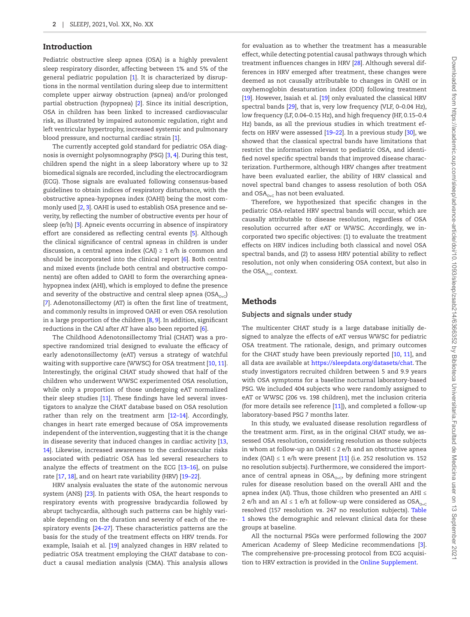# Introduction

Pediatric obstructive sleep apnea (OSA) is a highly prevalent sleep respiratory disorder, affecting between 1% and 5% of the general pediatric population [\[1](#page-7-0)]. It is characterized by disruptions in the normal ventilation during sleep due to intermittent complete upper airway obstruction (apnea) and/or prolonged partial obstruction (hypopnea) [[2](#page-7-1)]. Since its initial description, OSA in children has been linked to increased cardiovascular risk, as illustrated by impaired autonomic regulation, right and left ventricular hypertrophy, increased systemic and pulmonary blood pressure, and nocturnal cardiac strain [\[1](#page-7-0)].

The currently accepted gold standard for pediatric OSA diagnosis is overnight polysomnography (PSG) [[3](#page-7-2), [4](#page-7-3)]. During this test, children spend the night in a sleep laboratory where up to 32 biomedical signals are recorded, including the electrocardiogram (ECG). Those signals are evaluated following consensus-based guidelines to obtain indices of respiratory disturbance, with the obstructive apnea-hypopnea index (OAHI) being the most commonly used [\[2](#page-7-1), [3](#page-7-2)]. OAHI is used to establish OSA presence and severity, by reflecting the number of obstructive events per hour of sleep (e/h) [[3](#page-7-2)]. Apneic events occurring in absence of inspiratory effort are considered as reflecting central events [\[5\]](#page-7-4). Although the clinical significance of central apneas in children is under discussion, a central apnea index  $(CAI) \ge 1$  e/h is common and should be incorporated into the clinical report [\[6](#page-7-5)]. Both central and mixed events (include both central and obstructive components) are often added to OAHI to form the overarching apneahypopnea index (AHI), which is employed to define the presence and severity of the obstructive and central sleep apnea (OSA<sub>0+C</sub>) [[7](#page-7-6)]. Adenotonsillectomy (AT) is often the first line of treatment, and commonly results in improved OAHI or even OSA resolution in a large proportion of the children [[8,](#page-7-7) [9\]](#page-7-8). In addition, significant reductions in the CAI after AT have also been reported [[6](#page-7-5)].

The Childhood Adenotonsillectomy Trial (CHAT) was a prospective randomized trial designed to evaluate the efficacy of early adenotonsillectomy (eAT) versus a strategy of watchful waiting with supportive care (WWSC) for OSA treatment [\[10,](#page-7-9) [11\]](#page-7-10). Interestingly, the original CHAT study showed that half of the children who underwent WWSC experimented OSA resolution, while only a proportion of those undergoing eAT normalized their sleep studies [[11\]](#page-7-10). These findings have led several investigators to analyze the CHAT database based on OSA resolution rather than rely on the treatment arm [\[12–](#page-7-11)[14\]](#page-7-12). Accordingly, changes in heart rate emerged because of OSA improvements independent of the intervention, suggesting that it is the change in disease severity that induced changes in cardiac activity [[13,](#page-7-13) [14\]](#page-7-12). Likewise, increased awareness to the cardiovascular risks associated with pediatric OSA has led several researchers to analyze the effects of treatment on the ECG [\[13](#page-7-13)[–16\]](#page-7-14), on pulse rate [[17,](#page-7-15) [18](#page-7-16)], and on heart rate variability (HRV) [\[19–](#page-7-17)[22\]](#page-8-0).

HRV analysis evaluates the state of the autonomic nervous system (ANS) [[23\]](#page-8-1). In patients with OSA, the heart responds to respiratory events with progressive bradycardia followed by abrupt tachycardia, although such patterns can be highly variable depending on the duration and severity of each of the respiratory events [[24](#page-8-2)–[27](#page-8-3)]. These characteristics patterns are the basis for the study of the treatment effects on HRV trends. For example, Isaiah et al. [\[19\]](#page-7-17) analyzed changes in HRV related to pediatric OSA treatment employing the CHAT database to conduct a causal mediation analysis (CMA). This analysis allows

for evaluation as to whether the treatment has a measurable effect, while detecting potential causal pathways through which treatment influences changes in HRV [[28](#page-8-4)]. Although several differences in HRV emerged after treatment, these changes were deemed as not causally attributable to changes in OAHI or in oxyhemoglobin desaturation index (ODI) following treatment [\[19](#page-7-17)]. However, Isaiah et al. [\[19\]](#page-7-17) only evaluated the classical HRV spectral bands [[29\]](#page-8-5), that is, very low frequency (VLF, 0–0.04 Hz), low frequency (LF, 0.04–0.15 Hz), and high frequency (HF, 0.15–0.4 Hz) bands, as all the previous studies in which treatment effects on HRV were assessed [\[19](#page-7-17)[–22\]](#page-8-0). In a previous study [\[30\]](#page-8-6), we showed that the classical spectral bands have limitations that restrict the information relevant to pediatric OSA, and identified novel specific spectral bands that improved disease characterization. Furthermore, although HRV changes after treatment have been evaluated earlier, the ability of HRV classical and novel spectral band changes to assess resolution of both OSA and  $OSA_{O+C}$  has not been evaluated.

Therefore, we hypothesized that specific changes in the pediatric OSA-related HRV spectral bands will occur, which are causally attributable to disease resolution, regardless of OSA resolution occurred after eAT or WWSC. Accordingly, we incorporated two specific objectives: (1) to evaluate the treatment effects on HRV indices including both classical and novel OSA spectral bands, and (2) to assess HRV potential ability to reflect resolution, not only when considering OSA context, but also in the  $OSA_{_{O+C}}$  context.

# Methods

#### **Subjects and signals under study**

The multicenter CHAT study is a large database initially designed to analyze the effects of eAT versus WWSC for pediatric OSA treatment. The rationale, design, and primary outcomes for the CHAT study have been previously reported [[10](#page-7-9), [11\]](#page-7-10), and all data are available at <https://sleepdata.org/datasets/chat>. The study investigators recruited children between 5 and 9.9 years with OSA symptoms for a baseline nocturnal laboratory-based PSG. We included 404 subjects who were randomly assigned to eAT or WWSC (206 vs. 198 children), met the inclusion criteria (for more details see reference [[11](#page-7-10)]), and completed a follow-up laboratory-based PSG 7 months later.

In this study, we evaluated disease resolution regardless of the treatment arm. First, as in the original CHAT study, we assessed OSA resolution, considering resolution as those subjects in whom at follow-up an OAHI  $\leq$  2 e/h and an obstructive apnea index (OAI)  $\leq$  1 e/h were present [\[11](#page-7-10)] (i.e. 252 resolution vs. 152 no resolution subjects). Furthermore, we considered the importance of central apneas in  $OSA_{O+C}$ , by defining more stringent rules for disease resolution based on the overall AHI and the apnea index (AI). Thus, those children who presented an AHI ≤ 2 e/h and an AI  $\leq$  1 e/h at follow-up were considered as  $\mathrm{OSA}_{\mathrm{O}+\mathrm{C}}$ resolved (157 resolution vs. 247 no resolution subjects). [Table](#page-2-0)  [1](#page-2-0) shows the demographic and relevant clinical data for these groups at baseline.

All the nocturnal PSGs were performed following the 2007 American Academy of Sleep Medicine recommendations [\[3\]](#page-7-2). The comprehensive pre-processing protocol from ECG acquisition to HRV extraction is provided in the [Online Supplement](http://academic.oup.com/sleep/article-lookup/doi/10.1093/sleep/zsab214#supplementary-data).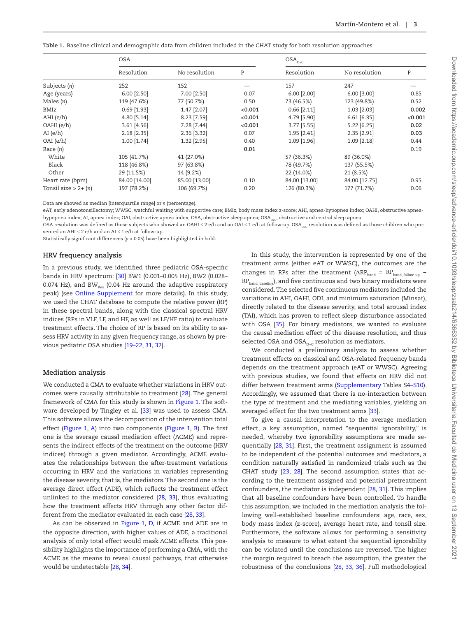<span id="page-2-0"></span>**Table 1.** Baseline clinical and demographic data from children included in the CHAT study for both resolution approaches

|                        | <b>OSA</b>    |               |         | $\mathsf{OSA}_{_{\mathbb{O}+\mathbb{C}}}$ |               |           |
|------------------------|---------------|---------------|---------|-------------------------------------------|---------------|-----------|
|                        | Resolution    | No resolution | P       | Resolution                                | No resolution | ${\tt P}$ |
| Subjects (n)           | 252           | 152           |         | 157                                       | 247           |           |
| Age (years)            | $6.00$ [2.50] | 7.00 [2.50]   | 0.07    | $6.00$ [2.00]                             | $6.00$ [3.00] | 0.85      |
| Males $(n)$            | 119 (47.6%)   | 77 (50.7%)    | 0.50    | 73 (46.5%)                                | 123 (49.8%)   | 0.52      |
| BMIz                   | $0.69$ [1.93] | 1.47 [2.07]   | < 0.001 | $0.66$ [2.11]                             | $1.03$ [2.03] | 0.002     |
| $AHI$ (e/h)            | 4.80 [5.14]   | 8.23 [7.59]   | < 0.001 | 4.79 [5.90]                               | $6.61$ [6.35] | < 0.001   |
| OAHI (e/h)             | $3.61$ [4.56] | 7.28 [7.44]   | < 0.001 | $3.77$ [5.55]                             | $5.22$ [6.25] | 0.02      |
| AI(e/h)                | $2.18$ [2.35] | 2.36 [3.32]   | 0.07    | 1.95 [2.41]                               | 2.35 [2.91]   | 0.03      |
| OAI (e/h)              | $1.00$ [1.74] | 1.32 [2.95]   | 0.40    | 1.09 [1.96]                               | $1.09$ [2.18] | 0.44      |
| Race $(n)$             |               |               | 0.01    |                                           |               | 0.19      |
| White                  | 105 (41.7%)   | 41 (27.0%)    |         | 57 (36.3%)                                | 89 (36.0%)    |           |
| Black                  | 118 (46.8%)   | 97 (63.8%)    |         | 78 (49.7%)                                | 137 (55.5%)   |           |
| Other                  | 29 (11.5%)    | 14 (9.2%)     |         | 22 (14.0%)                                | 21 (8.5%)     |           |
| Heart rate (bpm)       | 84.00 [14.00] | 85.00 [13.00] | 0.10    | 84.00 [13.00]                             | 84.00 [12.75] | 0.95      |
| Tonsil size $> 2+ (n)$ | 197 (78.2%)   | 106 (69.7%)   | 0.20    | 126 (80.3%)                               | 177 (71.7%)   | 0.06      |

Data are showed as median [interquartile range] or *n* (percentage).

eAT, early adenotonsillectomy; WWSC, watchful waiting with supportive care; BMIz, body mass index z-score; AHI, apnea-hypopnea index; OAHI, obstructive apneahypopnea index; AI, apnea index; OAI, obstructive apnea index; OSA, obstructive sleep apnea; OSA<sub>o+C</sub>, obstructive and central sleep apnea

OSA resolution was defined as those subjects who showed an OAHI ≤ 2 e/h and an OAI ≤ 1 e/h at follow-up. OSA<sub>0+C</sub> resolution was defined as those children who presented an AHI ≤ 2 e/h and an AI ≤ 1 e/h at follow-up.

Statistically significant differences (*p* < 0.05) have been highlighted in bold.

#### **HRV frequency analysis**

In a previous study, we identified three pediatric OSA-specific bands in HRV spectrum: [\[30\]](#page-8-6) BW1 (0.001–0.005 Hz), BW2 (0.028– 0.074 Hz), and BW $_{\text{Res}}$  (0.04 Hz around the adaptive respiratory peak) (see [Online Supplement](http://academic.oup.com/sleep/article-lookup/doi/10.1093/sleep/zsab214#supplementary-data) for more details). In this study, we used the CHAT database to compute the relative power (RP) in these spectral bands, along with the classical spectral HRV indices (RPs in VLF, LF, and HF, as well as LF/HF ratio) to evaluate treatment effects. The choice of RP is based on its ability to assess HRV activity in any given frequency range, as shown by previous pediatric OSA studies [[19](#page-7-17)[–22](#page-8-0), [31,](#page-8-7) [32\]](#page-8-8).

#### **Mediation analysis**

We conducted a CMA to evaluate whether variations in HRV outcomes were causally attributable to treatment [\[28\]](#page-8-4). The general framework of CMA for this study is shown in [Figure 1.](#page-3-0) The software developed by Tingley et al. [[33](#page-8-9)] was used to assess CMA. This software allows the decomposition of the intervention total effect ([Figure 1](#page-3-0), [A](#page-3-0)) into two components [\(Figure 1](#page-3-0), [B](#page-3-0)). The first one is the average causal mediation effect (ACME) and represents the indirect effects of the treatment on the outcome (HRV indices) through a given mediator. Accordingly, ACME evaluates the relationships between the after-treatment variations occurring in HRV and the variations in variables representing the disease severity, that is, the mediators. The second one is the average direct effect (ADE), which reflects the treatment effect unlinked to the mediator considered [[28](#page-8-4), [33\]](#page-8-9), thus evaluating how the treatment affects HRV through any other factor different from the mediator evaluated in each case [[28](#page-8-4), [33](#page-8-9)].

As can be observed in [Figure 1,](#page-3-0) [D,](#page-3-0) if ACME and ADE are in the opposite direction, with higher values of ADE, a traditional analysis of only total effect would mask ACME effects. This possibility highlights the importance of performing a CMA, with the ACME as the means to reveal causal pathways, that otherwise would be undetectable [\[28,](#page-8-4) [34\]](#page-8-10).

In this study, the intervention is represented by one of the treatment arms (either eAT or WWSC), the outcomes are the changes in RPs after the treatment  $(\Delta RP_{band} = RP_{band\ follow-up}$  -RP<sub>band baseline</sub>), and five continuous and two binary mediators were considered. The selected five continuous mediators included the variations in AHI, OAHI, ODI, and minimum saturation (Minsat), directly related to the disease severity, and total arousal index (TAI), which has proven to reflect sleep disturbance associated with OSA [[35\]](#page-8-11). For binary mediators, we wanted to evaluate the causal mediation effect of the disease resolution, and thus selected OSA and  $OSA_{O+C}$  resolution as mediators.

We conducted a preliminary analysis to assess whether treatment effects on classical and OSA-related frequency bands depends on the treatment approach (eAT or WWSC). Agreeing with previous studies, we found that effects on HRV did not differ between treatment arms ([Supplementary T](http://academic.oup.com/sleep/article-lookup/doi/10.1093/sleep/zsab214#supplementary-data)ables S[4–S10\)](http://academic.oup.com/sleep/article-lookup/doi/10.1093/sleep/zsab214#supplementary-data). Accordingly, we assumed that there is no-interaction between the type of treatment and the mediating variables, yielding an averaged effect for the two treatment arms [\[33\]](#page-8-9).

To give a causal interpretation to the average mediation effect, a key assumption, named "sequential ignorability," is needed, whereby two ignorability assumptions are made sequentially [\[28](#page-8-4), [31](#page-8-7)]. First, the treatment assignment is assumed to be independent of the potential outcomes and mediators, a condition naturally satisfied in randomized trials such as the CHAT study [\[23,](#page-8-1) [28\]](#page-8-4). The second assumption states that according to the treatment assigned and potential pretreatment confounders, the mediator is independent [\[28](#page-8-4), [31\]](#page-8-7). This implies that all baseline confounders have been controlled. To handle this assumption, we included in the mediation analysis the following well-established baseline confounders: age, race, sex, body mass index (z-score), average heart rate, and tonsil size. Furthermore, the software allows for performing a sensitivity analysis to measure to what extent the sequential ignorability can be violated until the conclusions are reversed. The higher the margin required to breach the assumption, the greater the robustness of the conclusions [[28](#page-8-4), [33](#page-8-9), [36\]](#page-8-12). Full methodological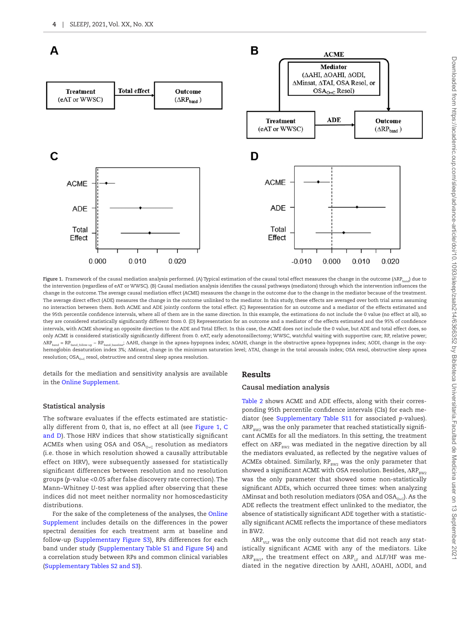

<span id="page-3-0"></span>Figure 1. Framework of the causal mediation analysis performed. (A) Typical estimation of the causal total effect measures the change in the outcome (ΔRP<sub>band</sub>) due to the intervention (regardless of eAT or WWSC). (B) Causal mediation analysis identifies the causal pathways (mediators) through which the intervention influences the change in the outcome. The average causal mediation effect (ACME) measures the change in the outcome due to the change in the mediator because of the treatment. The average direct effect (ADE) measures the change in the outcome unlinked to the mediator. In this study, these effects are averaged over both trial arms assuming no interaction between them. Both ACME and ADE jointly conform the total effect. (C) Representation for an outcome and a mediator of the effects estimated and the 95th percentile confidence intervals, where all of them are in the same direction. In this example, the estimations do not include the 0 value (no effect at all), so they are considered statistically significantly different from 0. (D) Representation for an outcome and a mediator of the effects estimated and the 95% of confidence intervals, with ACME showing an opposite direction to the ADE and Total Effect. In this case, the ACME does not include the 0 value, but ADE and total effect does, so only ACME is considered statistically significantly different from 0. eAT, early adenotonsillectomy; WWSC, watchful waiting with supportive care; RP, relative power; ΔRPband = RPband\_follow-up − RPband\_baseline; ΔAHI, change in the apnea-hypopnea index; ΔOAHI, change in the obstructive apnea-hypopnea index; ΔODI, change in the oxyhemoglobin desaturation index 3%; ΔMinsat, change in the minimum saturation level; ΔTAI, change in the total arousals index; OSA resol, obstructive sleep apnea resolution;  $OSA_{0+C}$  resol, obstructive and central sleep apnea resolution.

details for the mediation and sensitivity analysis are available in the [Online Supplement.](http://academic.oup.com/sleep/article-lookup/doi/10.1093/sleep/zsab214#supplementary-data)

#### **Statistical analysis**

The software evaluates if the effects estimated are statistically different from 0, that is, no effect at all (see [Figure 1,](#page-3-0) [C](#page-3-0)  [and D\)](#page-3-0). Those HRV indices that show statistically significant ACMEs when using OSA and  $OSA_{O+C}$  resolution as mediators (i.e. those in which resolution showed a causally attributable effect on HRV), were subsequently assessed for statistically significant differences between resolution and no resolution groups (*p*-value <0.05 after false discovery rate correction). The Mann–Whitney *U*-test was applied after observing that these indices did not meet neither normality nor homoscedasticity distributions.

For the sake of the completeness of the analyses, the [Online](http://academic.oup.com/sleep/article-lookup/doi/10.1093/sleep/zsab214#supplementary-data)  [Supplement](http://academic.oup.com/sleep/article-lookup/doi/10.1093/sleep/zsab214#supplementary-data) includes details on the differences in the power spectral densities for each treatment arm at baseline and follow-up ([Supplementary Figure S3](http://academic.oup.com/sleep/article-lookup/doi/10.1093/sleep/zsab214#supplementary-data)), RPs differences for each band under study [\(Supplementary Table S1 and Figure S4\)](http://academic.oup.com/sleep/article-lookup/doi/10.1093/sleep/zsab214#supplementary-data) and a correlation study between RPs and common clinical variables ([Supplementary Tables S2 and S3\)](http://academic.oup.com/sleep/article-lookup/doi/10.1093/sleep/zsab214#supplementary-data).

#### Results

#### **Causal mediation analysis**

[Table 2](#page-4-0) shows ACME and ADE effects, along with their corresponding 95th percentile confidence intervals (CIs) for each mediator (see [Supplementary Table S11](http://academic.oup.com/sleep/article-lookup/doi/10.1093/sleep/zsab214#supplementary-data) for associated *p*-values).  $\Delta RP_{\text{RW2}}$  was the only parameter that reached statistically significant ACMEs for all the mediators. In this setting, the treatment effect on  $\Delta RP_{\text{\tiny{BW2}}}$  was mediated in the negative direction by all the mediators evaluated, as reflected by the negative values of ACMEs obtained. Similarly,  $RP_{BW2}$  was the only parameter that showed a significant ACME with OSA resolution. Besides, ΔRP<sub>RW2</sub> was the only parameter that showed some non-statistically significant ADEs, which occurred three times: when analyzing  $\Delta$ Minsat and both resolution mediators (OSA and OSA $_{\alpha}$ ). As the ADE reflects the treatment effect unlinked to the mediator, the absence of statistically significant ADE together with a statistically significant ACME reflects the importance of these mediators in BW2.

 $\Delta RP_{\text{VLE}}$  was the only outcome that did not reach any statistically significant ACME with any of the mediators. Like  $\Delta RP_{\text{RW2}}$ , the treatment effect on  $\Delta RP_{\text{LF}}$  and  $\Delta LF/HF$  was mediated in the negative direction by ΔAHI, ΔOAHI, ΔODI, and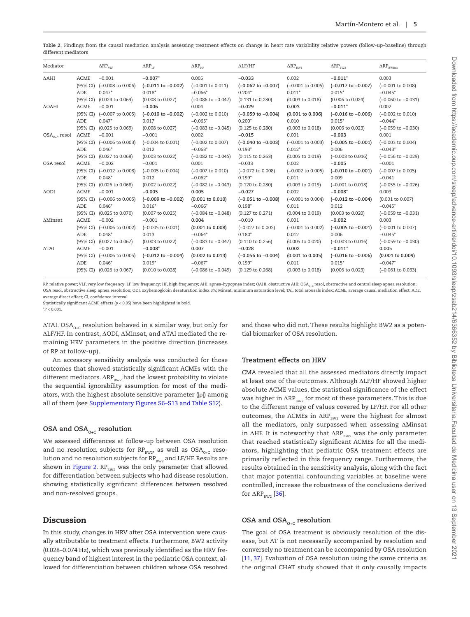<span id="page-4-0"></span>Table 2. Findings from the causal mediation analysis assessing treatment effects on change in heart rate variability relative powers (follow-up-baseline) through different mediators

| Mediator          |                         | $\Delta \text{RP}_{\text{VLF}}$          | $\Delta \text{RP}_{\text{\tiny LF}}$ | $\Delta RP_{HF}$               | $\Delta\text{LF}/\text{HF}$               | $\Delta \text{RP}_\text{\tiny BW1}$ | $\Delta RP_{BW2}$                          | $\Delta \text{RP}_\text{\tiny BWRes}$ |
|-------------------|-------------------------|------------------------------------------|--------------------------------------|--------------------------------|-------------------------------------------|-------------------------------------|--------------------------------------------|---------------------------------------|
| $\triangle$ AHI   | <b>ACME</b><br>(95% CI) | $-0.001$<br>$(-0.008 \text{ to } 0.006)$ | $-0.007*$<br>$(-0.011$ to $-0.002)$  | 0.005<br>$(-0.001$ to $0.011)$ | $-0.033$<br>$(-0.062 \text{ to } -0.007)$ | 0.002<br>$(-0.001$ to $0.005)$      | $-0.011*$<br>$(-0.017 \text{ to } -0.007)$ | 0.003<br>$(-0.001$ to $0.008)$        |
|                   | ADE                     | $0.047*$                                 | $0.018*$                             | $-0.066*$                      | $0.204*$                                  | $0.011*$                            | $0.015*$                                   | $-0.045*$                             |
|                   | (95% CI)                | $(0.024 \text{ to } 0.069)$              | $(0.008 \text{ to } 0.027)$          | $(-0.086 \text{ to } -0.047)$  | $(0.131$ to $0.280)$                      | $(0.003 \text{ to } 0.018)$         | (0.006 to 0.024)                           | $(-0.060 \text{ to } -0.031)$         |
| $\Delta$ OAHI     | <b>ACME</b>             | $-0.001$                                 | $-0.006$                             | 0.004                          | $-0.029$                                  | 0.003                               | $-0.011*$                                  | 0.002                                 |
|                   |                         | (95% CI) (-0.007 to 0.005)               | $(-0.010 \text{ to } -0.002)$        | $(-0.002 \text{ to } 0.010)$   | $(-0.059 \text{ to } -0.004)$             | $(0.001 \text{ to } 0.006)$         | $(-0.016 \text{ to } -0.006)$              | $(-0.002 \text{ to } 0.010)$          |
|                   | ADE                     | $0.047*$                                 | 0.017                                | $-0.065*$                      | $0.200*$                                  | 0.010                               | $0.015*$                                   | $-0.044*$                             |
|                   | (95% CI)                | (0.025 to 0.069)                         | $(0.008 \text{ to } 0.027)$          | $(-0.083$ to $-0.045)$         | $(0.125 \text{ to } 0.280)$               | (0.003 to 0.018)                    | (0.006 to 0.023)                           | $(-0.059$ to $-0.030)$                |
| $OSA_{0+C}$ resol | <b>ACME</b>             | $-0.001$                                 | $-0.001$                             | 0.002                          | $-0.015$                                  | 0.001                               | $-0.003$                                   | 0.001                                 |
|                   |                         | (95% CI) (-0.006 to 0.003)               | $(-0.004 \text{ to } 0.001)$         | $(-0.002 \text{ to } 0.007)$   | $(-0.040 \text{ to } -0.003)$             | $(-0.001$ to $0.003)$               | $(-0.005$ to $-0.001)$                     | $(-0.003$ to $0.004)$                 |
|                   | ADE                     | $0.046*$                                 | 0.012                                | $-0.063*$                      | $0.193*$                                  | $0.012*$                            | 0.006                                      | $-0.043*$                             |
|                   | (95% CI)                | (0.027 to 0.068)                         | (0.003 to 0.022)                     | $(-0.082 \text{ to } -0.045)$  | $(0.115 \text{ to } 0.263)$               | $(0.005 \text{ to } 0.019)$         | $(-0.003 \text{ to } 0.016)$               | $(-0.056 \text{ to } -0.029)$         |
| OSA resol         | <b>ACME</b>             | $-0.002$                                 | $-0.001$                             | 0.001                          | $-0.033$                                  | 0.002                               | $-0.005$                                   | $-0.001$                              |
|                   |                         | (95% CI) (-0.012 to 0.008)               | $(-0.005$ to $0.004)$                | $(-0.007 \text{ to } 0.010)$   | $(-0.072 \text{ to } 0.008)$              | $(-0.002 \text{ to } 0.005)$        | $(-0.010 \text{ to } -0.001)$              | $(-0.007$ to $0.005)$                 |
|                   | ADE                     | $0.048*$                                 | 0.012                                | $-0.062*$                      | $0.199*$                                  | 0.011                               | 0.009                                      | $-0.041$                              |
|                   | (95% CI)                | (0.026 to 0.068)                         | (0.002 to 0.022)                     | $(-0.082 \text{ to } -0.043)$  | $(0.120 \text{ to } 0.280)$               | $(0.003 \text{ to } 0.019)$         | $(-0.001$ to $0.018)$                      | $(-0.055$ to $-0.026)$                |
| $\triangle$ ODI   | <b>ACME</b>             | $-0.001$                                 | $-0.005$                             | 0.005                          | $-0.027$                                  | 0.002                               | $-0.008*$                                  | 0.003                                 |
|                   |                         | (95% CI) (-0.006 to 0.005)               | $(-0.009$ to $-0.002)$               | $(0.001$ to $0.010)$           | $(-0.051$ to $-0.008)$                    | $(-0.001$ to $0.004)$               | $(-0.012 \text{ to } -0.004)$              | $(0.001$ to $0.007)$                  |
|                   | ADE                     | $0.046*$                                 | $0.016*$                             | $-0.066*$                      | $0.198*$                                  | 0.011                               | 0.012                                      | $-0.045*$                             |
|                   | $(95\% \text{ CI})$     | (0.025 to 0.070)                         | $(0.007 \text{ to } 0.025)$          | $(-0.084 \text{ to } -0.048)$  | $(0.127 \text{ to } 0.271)$               | $(0.004 \text{ to } 0.019)$         | $(0.003$ to $0.020)$                       | $(-0.059 \text{ to } -0.031)$         |
| $\Delta$ Minsat   | <b>ACME</b>             | $-0.002$                                 | $-0.001$                             | 0.004                          | $-0.010$                                  | 0.001                               | $-0.002$                                   | 0.003                                 |
|                   | (95% CI)                | (-0.006 to 0.002)                        | $(-0.005$ to $0.001)$                | $(0.001 \text{ to } 0.008)$    | $(-0.027$ to $0.002)$                     | $(-0.001$ to $0.002)$               | $(-0.005$ to $-0.001)$                     | $(-0.001$ to $0.007)$                 |
|                   | ADE                     | $0.048*$                                 | 0.013                                | $-0.064*$                      | $0.180*$                                  | 0.012                               | 0.006                                      | $-0.045*$                             |
|                   | (95% CI)                | (0.027 to 0.067)                         | (0.003 to 0.022)                     | $(-0.083 \text{ to } -0.047)$  | $(0.110 \text{ to } 0.256)$               | $(0.005$ to $0.020)$                | $(-0.003 \text{ to } 0.016)$               | $(-0.059$ to $-0.030)$                |
| $\triangle$ TAI   | <b>ACME</b>             | $-0.001$                                 | $-0.008*$                            | 0.007                          | $-0.028$                                  | 0.002                               | $-0.011*$                                  | 0.005                                 |
|                   | (95% CI)                | $(-0.006 \text{ to } 0.005)$             | $(-0.012 \text{ to } -0.004)$        | $(0.002 \text{ to } 0.013)$    | $(-0.056 \text{ to } -0.004)$             | $(0.001 \text{ to } 0.005)$         | $(-0.016 \text{ to } -0.006)$              | $(0.001 \text{ to } 0.009)$           |
|                   | ADE                     | $0.046*$                                 | $0.019*$                             | $-0.067*$                      | $0.199*$                                  | 0.011                               | $0.015*$                                   | $-0.047*$                             |
|                   | (95% CI)                | $(0.026 \text{ to } 0.067)$              | $(0.010 \text{ to } 0.028)$          | $(-0.086 \text{ to } -0.049)$  | $(0.129 \text{ to } 0.268)$               | $(0.003 \text{ to } 0.018)$         | $(0.006 \text{ to } 0.023)$                | $(-0.061$ to $0.033)$                 |

RP, relative power; VLF, very low frequency; LF, low frequency; HF, high frequency; AHI, apnea-hypopnea index; OAHI, obstructive AHI; OSA<sub>nic</sub> resol, obstructive and central sleep apnea resolution; OSA resol, obstructive sleep apnea resolution; ODI, oxyhemoglobin desaturation index 3%; Minsat, minimum saturation level; TAI, total arousals index; ACME, average causal mediation effect; ADE, average direct effect; CI, confidence interval.

Statistically significant ACME effects (*p* < 0.05) have been highlighted in bold.

\**P* < 0.001.

 $\Delta \text{TAI. OSA}_{\text{O+C}}$  resolution behaved in a similar way, but only for ΔLF/HF. In contrast, ΔODI, ΔMinsat, and ΔTAI mediated the remaining HRV parameters in the positive direction (increases of RP at follow-up).

An accessory sensitivity analysis was conducted for those outcomes that showed statistically significant ACMEs with the different mediators.  $\Delta RP_{\text{RW2}}$  had the lowest probability to violate the sequential ignorability assumption for most of the mediators, with the highest absolute sensitive parameter (|ρ|) among all of them (see [Supplementary Figures S6–S13 and Table S12\)](http://academic.oup.com/sleep/article-lookup/doi/10.1093/sleep/zsab214#supplementary-data).

#### OSA and OSA<sub>0+C</sub> resolution

We assessed differences at follow-up between OSA resolution and no resolution subjects for  $RP_{\text{BW2}}$ , as well as  $OSA_{\text{O+C}}$  resolution and no resolution subjects for  $RP_{\text{BW2}}$  and LF/HF. Results are shown in [Figure 2](#page-5-0).  $RP_{\text{RW2}}$  was the only parameter that allowed for differentiation between subjects who had disease resolution, showing statistically significant differences between resolved and non-resolved groups.

# Discussion

In this study, changes in HRV after OSA intervention were causally attributable to treatment effects. Furthermore, BW2 activity (0.028–0.074 Hz), which was previously identified as the HRV frequency band of highest interest in the pediatric OSA context, allowed for differentiation between children whose OSA resolved and those who did not. These results highlight BW2 as a potential biomarker of OSA resolution.

#### **Treatment effects on HRV**

CMA revealed that all the assessed mediators directly impact at least one of the outcomes. Although ΔLF/HF showed higher absolute ACME values, the statistical significance of the effect was higher in  $\Delta RP_{\text{RW2}}$  for most of these parameters. This is due to the different range of values covered by LF/HF. For all other outcomes, the ACMEs in  $\Delta RP_{\text{\tiny{BW2}}}$  were the highest for almost all the mediators, only surpassed when assessing ΔMinsat in  $\Delta$ HF. It is noteworthy that  $\Delta$ RP<sub>BW2</sub> was the only parameter that reached statistically significant ACMEs for all the mediators, highlighting that pediatric OSA treatment effects are primarily reflected in this frequency range. Furthermore, the results obtained in the sensitivity analysis, along with the fact that major potential confounding variables at baseline were controlled, increase the robustness of the conclusions derived for  $\Delta RP_{BW2}$  [\[36\]](#page-8-12).

#### OSA and OSA<sub>0+C</sub> resolution

The goal of OSA treatment is obviously resolution of the disease, but AT is not necessarily accompanied by resolution and conversely no treatment can be accompanied by OSA resolution [\[11](#page-7-10), [37\]](#page-8-13). Evaluation of OSA resolution using the same criteria as the original CHAT study showed that it only causally impacts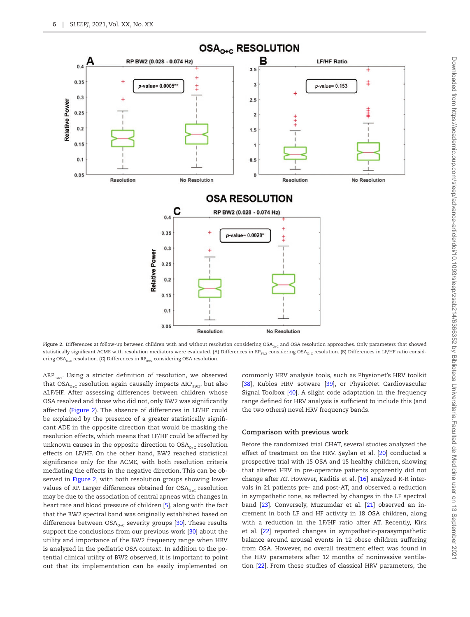

<span id="page-5-0"></span>Figure 2. Differences at follow-up between children with and without resolution considering OSA<sub>0+C</sub> and OSA resolution approaches. Only parameters that showed statistically significant ACME with resolution mediators were evaluated. (A) Differences in  $RP_{BW2}$  considering OSA<sub>0+C</sub> resolution. (B) Differences in LF/HF ratio considering OSA<sub>0+C</sub> resolution. (C) Differences in  $RP_{BW2}$  considering OSA resolution.

 $\Delta RP_{\text{BW2}}$ . Using a stricter definition of resolution, we observed that  $OSA_{\text{O}_1C}$  resolution again causally impacts  $\Delta RP_{\text{surv}}$ , but also ΔLF/HF. After assessing differences between children whose OSA resolved and those who did not, only BW2 was significantly affected [\(Figure 2\)](#page-5-0). The absence of differences in LF/HF could be explained by the presence of a greater statistically significant ADE in the opposite direction that would be masking the resolution effects, which means that LF/HF could be affected by unknown causes in the opposite direction to  $OSA_{O+C}$  resolution effects on LF/HF. On the other hand, BW2 reached statistical significance only for the ACME, with both resolution criteria mediating the effects in the negative direction. This can be observed in [Figure 2,](#page-5-0) with both resolution groups showing lower values of RP. Larger differences obtained for  $OSA_{\alpha,c}$  resolution may be due to the association of central apneas with changes in heart rate and blood pressure of children [\[5](#page-7-4)], along with the fact that the BW2 spectral band was originally established based on differences between  $OSA_{_{O+C}}$  severity groups [\[30\]](#page-8-6). These results support the conclusions from our previous work [[30](#page-8-6)] about the utility and importance of the BW2 frequency range when HRV is analyzed in the pediatric OSA context. In addition to the potential clinical utility of BW2 observed, it is important to point out that its implementation can be easily implemented on

commonly HRV analysis tools, such as Physionet's HRV toolkit [\[38](#page-8-14)], Kubios HRV sotware [[39](#page-8-15)], or PhysioNet Cardiovascular Signal Toolbox [\[40\]](#page-8-16). A slight code adaptation in the frequency range defined for HRV analysis is sufficient to include this (and the two others) novel HRV frequency bands.

#### **Comparison with previous work**

Before the randomized trial CHAT, several studies analyzed the effect of treatment on the HRV. Şaylan et al. [[20](#page-7-18)] conducted a prospective trial with 15 OSA and 15 healthy children, showing that altered HRV in pre-operative patients apparently did not change after AT. However, Kaditis et al. [\[16\]](#page-7-14) analyzed R-R intervals in 21 patients pre- and post-AT, and observed a reduction in sympathetic tone, as reflected by changes in the LF spectral band [[23](#page-8-1)]. Conversely, Muzumdar et al. [[21](#page-7-19)] observed an increment in both LF and HF activity in 18 OSA children, along with a reduction in the LF/HF ratio after AT. Recently, Kirk et al. [\[22](#page-8-0)] reported changes in sympathetic-parasympathetic balance around arousal events in 12 obese children suffering from OSA. However, no overall treatment effect was found in the HRV parameters after 12 months of noninvasive ventilation [\[22](#page-8-0)]. From these studies of classical HRV parameters, the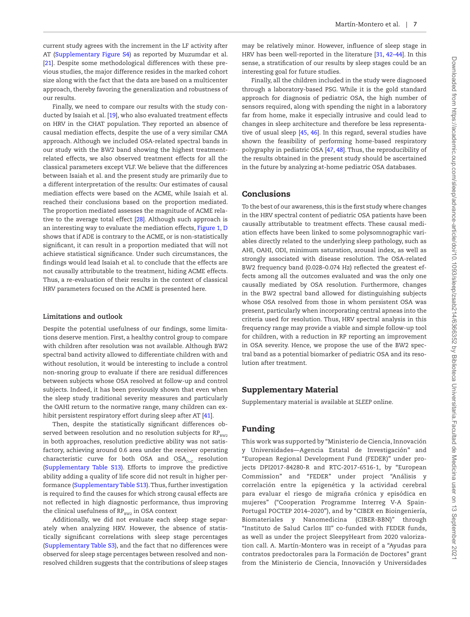current study agrees with the increment in the LF activity after AT ([Supplementary Figure S4\)](http://academic.oup.com/sleep/article-lookup/doi/10.1093/sleep/zsab214#supplementary-data) as reported by Muzumdar et al. [[21](#page-7-19)]. Despite some methodological differences with these previous studies, the major difference resides in the marked cohort size along with the fact that the data are based on a multicenter approach, thereby favoring the generalization and robustness of our results.

Finally, we need to compare our results with the study conducted by Isaiah et al. [\[19\]](#page-7-17), who also evaluated treatment effects on HRV in the CHAT population. They reported an absence of causal mediation effects, despite the use of a very similar CMA approach. Although we included OSA-related spectral bands in our study with the BW2 band showing the highest treatmentrelated effects, we also observed treatment effects for all the classical parameters except VLF. We believe that the differences between Isaiah et al. and the present study are primarily due to a different interpretation of the results: Our estimates of causal mediation effects were based on the ACME, while Isaiah et al. reached their conclusions based on the proportion mediated. The proportion mediated assesses the magnitude of ACME relative to the average total effect [[28](#page-8-4)]. Although such approach is an interesting way to evaluate the mediation effects, [Figure 1](#page-3-0), [D](#page-3-0) shows that if ADE is contrary to the ACME, or is non-statistically significant, it can result in a proportion mediated that will not achieve statistical significance. Under such circumstances, the findings would lead Isaiah et al. to conclude that the effects are not causally attributable to the treatment, hiding ACME effects. Thus, a re-evaluation of their results in the context of classical HRV parameters focused on the ACME is presented here.

#### **Limitations and outlook**

Despite the potential usefulness of our findings, some limitations deserve mention. First, a healthy control group to compare with children after resolution was not available. Although BW2 spectral band activity allowed to differentiate children with and without resolution, it would be interesting to include a control non-snoring group to evaluate if there are residual differences between subjects whose OSA resolved at follow-up and control subjects. Indeed, it has been previously shown that even when the sleep study traditional severity measures and particularly the OAHI return to the normative range, many children can exhibit persistent respiratory effort during sleep after AT [[41\]](#page-8-17).

Then, despite the statistically significant differences observed between resolution and no resolution subjects for  $RP_{\text{BWP}}$ in both approaches, resolution predictive ability was not satisfactory, achieving around 0.6 area under the receiver operating characteristic curve for both OSA and  $OSA_{0+C}$  resolution ([Supplementary Table S13](http://academic.oup.com/sleep/article-lookup/doi/10.1093/sleep/zsab214#supplementary-data)). Efforts to improve the predictive ability adding a quality of life score did not result in higher performance ([Supplementary Table S13\)](http://academic.oup.com/sleep/article-lookup/doi/10.1093/sleep/zsab214#supplementary-data). Thus, further investigation is required to find the causes for which strong causal effects are not reflected in high diagnostic performance, thus improving the clinical usefulness of  $RP_{\text{RW2}}$  in OSA context.

Additionally, we did not evaluate each sleep stage separately when analyzing HRV. However, the absence of statistically significant correlations with sleep stage percentages ([Supplementary Table S3\)](http://academic.oup.com/sleep/article-lookup/doi/10.1093/sleep/zsab214#supplementary-data), and the fact that no differences were observed for sleep stage percentages between resolved and nonresolved children suggests that the contributions of sleep stages

may be relatively minor. However, influence of sleep stage in HRV has been well-reported in the literature [[31](#page-8-7), [42–](#page-8-18)[44](#page-8-19)]. In this sense, a stratification of our results by sleep stages could be an interesting goal for future studies.

Finally, all the children included in the study were diagnosed through a laboratory-based PSG. While it is the gold standard approach for diagnosis of pediatric OSA, the high number of sensors required, along with spending the night in a laboratory far from home, make it especially intrusive and could lead to changes in sleep architecture and therefore be less representative of usual sleep [[45](#page-8-20), [46](#page-8-21)]. In this regard, several studies have shown the feasibility of performing home-based respiratory polygraphy in pediatric OSA [\[47,](#page-8-22) [48\]](#page-8-23). Thus, the reproducibility of the results obtained in the present study should be ascertained in the future by analyzing at-home pediatric OSA databases.

# Conclusions

To the best of our awareness, this is the first study where changes in the HRV spectral content of pediatric OSA patients have been causally attributable to treatment effects. These causal mediation effects have been linked to some polysomnographic variables directly related to the underlying sleep pathology, such as AHI, OAHI, ODI, minimum saturation, arousal index, as well as strongly associated with disease resolution. The OSA-related BW2 frequency band (0.028–0.074 Hz) reflected the greatest effects among all the outcomes evaluated and was the only one causally mediated by OSA resolution. Furthermore, changes in the BW2 spectral band allowed for distinguishing subjects whose OSA resolved from those in whom persistent OSA was present, particularly when incorporating central apneas into the criteria used for resolution. Thus, HRV spectral analysis in this frequency range may provide a viable and simple follow-up tool for children, with a reduction in RP reporting an improvement in OSA severity. Hence, we propose the use of the BW2 spectral band as a potential biomarker of pediatric OSA and its resolution after treatment.

# Supplementary Material

Supplementary material is available at *SLEEP* online.

# Funding

This work was supported by "Ministerio de Ciencia, Innovación y Universidades—Agencia Estatal de Investigación" and "European Regional Development Fund (FEDER)" under projects DPI2017-84280-R and RTC-2017-6516-1, by "European Commission" and "FEDER" under project "Análisis y correlación entre la epigenética y la actividad cerebral para evaluar el riesgo de migraña crónica y episódica en mujeres" ("Cooperation Programme Interreg V-A Spain-Portugal POCTEP 2014–2020"), and by "CIBER en Bioingeniería, Biomateriales y Nanomedicina (CIBER-BBN)" through "Instituto de Salud Carlos III" co-funded with FEDER funds, as well as under the project SleepyHeart from 2020 valorization call. A. Martín-Montero was in receipt of a "Ayudas para contratos predoctorales para la Formación de Doctores" grant from the Ministerio de Ciencia, Innovación y Universidades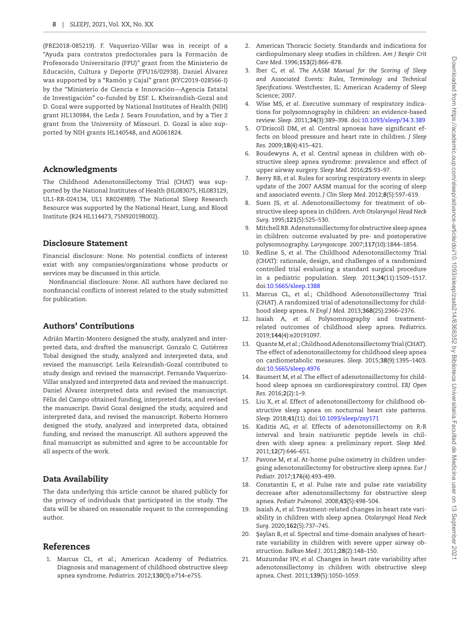(PRE2018-085219). F. Vaquerizo-Villar was in receipt of a "Ayuda para contratos predoctorales para la Formación de Profesorado Universitario (FPU)" grant from the Ministerio de Educación, Cultura y Deporte (FPU16/02938). Daniel Álvarez was supported by a "Ramón y Cajal" grant (RYC2019-028566-I) by the "Ministerio de Ciencia e Innovación—Agencia Estatal de Investigación" co-funded by ESF. L. Kheirandish-Gozal and D. Gozal were supported by National Institutes of Health (NIH) grant HL130984, the Leda J. Sears Foundation, and by a Tier 2 grant from the University of Missouri. D. Gozal is also supported by NIH grants HL140548, and AG061824.

#### Acknowledgments

The Childhood Adenotonsillectomy Trial (CHAT) was supported by the National Institutes of Health (HL083075, HL083129, UL1-RR-024134, UL1 RR024989). The National Sleep Research Resource was supported by the National Heart, Lung, and Blood Institute (R24 HL114473, 75N92019R002).

# Disclosure Statement

Financial disclosure: None. No potential conflicts of interest exist with any companies/organizations whose products or services may be discussed in this article.

Nonfinancial disclosure: None. All authors have declared no nonfinancial conflicts of interest related to the study submitted for publication.

# Authors' Contributions

Adrián Martín-Montero designed the study, analyzed and interpreted data, and drafted the manuscript. Gonzalo C. Gutiérrez Tobal designed the study, analyzed and interpreted data, and revised the manuscript. Leila Keirandish-Gozal contributed to study design and revised the manuscript. Fernando Vaquerizo-Villar analyzed and interpreted data and revised the manuscript. Daniel Álvarez interpreted data and revised the manuscript. Félix del Campo obtained funding, interpreted data, and revised the manuscript. David Gozal designed the study, acquired and interpreted data, and revised the manuscript. Roberto Hornero designed the study, analyzed and interpreted data, obtained funding, and revised the manuscript. All authors approved the final manuscript as submitted and agree to be accountable for all aspects of the work.

# Data Availability

The data underlying this article cannot be shared publicly for the privacy of individuals that participated in the study. The data will be shared on reasonable request to the corresponding author.

# References

<span id="page-7-0"></span>1. Marcus CL, *et al*.; American Academy of Pediatrics. Diagnosis and management of childhood obstructive sleep apnea syndrome. *Pediatrics.* 2012;**130**(3):e714–e755.

- <span id="page-7-1"></span>2. American Thoracic Society. Standards and indications for cardiopulmonary sleep studies in children. *Am J Respir Crit Care Med*. 1996;**153**(2):866–878.
- <span id="page-7-2"></span>3. Iber C, *et al*. *The AASM Manual for the Scoring of Sleep and Associated Events: Rules, Terminology and Technical Specifications*. Westchester, IL: American Academy of Sleep Science; 2007.
- <span id="page-7-3"></span>4. Wise MS, *et al*. Executive summary of respiratory indications for polysomnography in children: an evidence-based review. *Sleep.* 2011;**34**(3):389–398. doi[:10.1093/sleep/34.3.389](https://doi.org/10.1093/sleep/34.3.389)
- <span id="page-7-4"></span>5. O'Driscoll DM, *et al*. Central apnoeas have significant effects on blood pressure and heart rate in children. *J Sleep Res.* 2009;**18**(4):415–421.
- <span id="page-7-5"></span>6. Boudewyns A, *et al*. Central apneas in children with obstructive sleep apnea syndrome: prevalence and effect of upper airway surgery. *Sleep Med.* 2016;**25**:93–97.
- <span id="page-7-6"></span>7. Berry RB, *et al*. Rules for scoring respiratory events in sleep: update of the 2007 AASM manual for the scoring of sleep and associated events. *J Clin Sleep Med*. 2012;**8**(5):597–619.
- <span id="page-7-7"></span>8. Suen JS, *et al*. Adenotonsillectomy for treatment of obstructive sleep apnea in children. *Arch Otolaryngol Head Neck Surg*. 1995;**121**(5):525–530.
- <span id="page-7-8"></span>9. Mitchell RB. Adenotonsillectomy for obstructive sleep apnea in children: outcome evaluated by pre- and postoperative polysomnography. *Laryngoscope.* 2007;**117**(10):1844–1854.
- <span id="page-7-9"></span>10. Redline S, *et al*. The Childhood Adenotonsillectomy Trial (CHAT): rationale, design, and challenges of a randomized controlled trial evaluating a standard surgical procedure in a pediatric population. *Sleep.* 2011;**34**(11):1509–1517. doi[:10.5665/sleep.1388](https://doi.org/10.5665/sleep.1388)
- <span id="page-7-10"></span>11. Marcus CL, *et al*.; Childhood Adenotonsillectomy Trial (CHAT). A randomized trial of adenotonsillectomy for childhood sleep apnea. *N Engl J Med.* 2013;**368**(25):2366–2376.
- <span id="page-7-11"></span>12. Isaiah A, *et al*. Polysomnography and treatmentrelated outcomes of childhood sleep apnea. *Pediatrics*. 2019;**144**(4):e20191097.
- <span id="page-7-13"></span>13. Quante M, *et al*.; Childhood Adenotonsillectomy Trial (CHAT). The effect of adenotonsillectomy for childhood sleep apnea on cardiometabolic measures. *Sleep.* 2015;**38**(9):1395–1403. doi[:10.5665/sleep.4976](https://doi.org/10.5665/sleep.4976)
- <span id="page-7-12"></span>14. Baumert M, *et al*. The effect of adenotonsillectomy for childhood sleep apnoea on cardiorespiratory control. *ERJ Open Res*. 2016;**2**(2):1–9.
- 15. Liu X, *et al*. Effect of adenotonsillectomy for childhood obstructive sleep apnea on nocturnal heart rate patterns. *Sleep.* 2018;**41**(11). doi[:10.1093/sleep/zsy171](https://doi.org/10.1093/sleep/zsy171)
- <span id="page-7-14"></span>16. Kaditis AG, *et al*. Effects of adenotonsillectomy on R-R interval and brain natriuretic peptide levels in children with sleep apnea: a preliminary report. *Sleep Med.* 2011;**12**(7):646–651.
- <span id="page-7-15"></span>17. Pavone M, *et al*. At-home pulse oximetry in children undergoing adenotonsillectomy for obstructive sleep apnea. *Eur J Pediatr.* 2017;**176**(4):493–499.
- <span id="page-7-16"></span>18. Constantin E, *et al*. Pulse rate and pulse rate variability decrease after adenotonsillectomy for obstructive sleep apnea. *Pediatr Pulmonol.* 2008;**43**(5):498–504.
- <span id="page-7-17"></span>19. Isaiah A, *et al*. Treatment-related changes in heart rate variability in children with sleep apnea. *Otolaryngol Head Neck Surg.* 2020;**162**(5):737–745.
- <span id="page-7-18"></span>20. Şaylan B, *et al*. Spectral and time-domain analyses of heartrate variability in children with severe upper airway obstruction. *Balkan Med J*. 2011;**28**(2):148–150.
- <span id="page-7-19"></span>21. Muzumdar HV, *et al*. Changes in heart rate variability after adenotonsillectomy in children with obstructive sleep apnea. *Chest.* 2011;**139**(5):1050–1059.